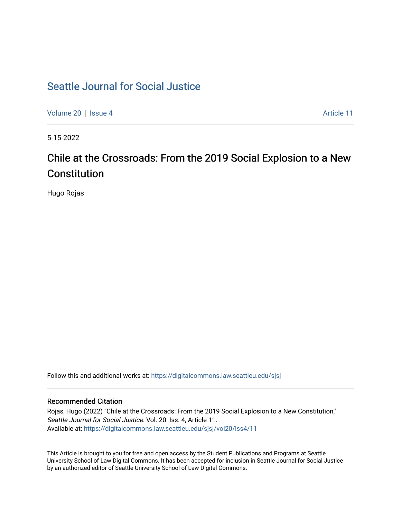# [Seattle Journal for Social Justice](https://digitalcommons.law.seattleu.edu/sjsj)

[Volume 20](https://digitalcommons.law.seattleu.edu/sjsj/vol20) | [Issue 4](https://digitalcommons.law.seattleu.edu/sjsj/vol20/iss4) Article 11

5-15-2022

# Chile at the Crossroads: From the 2019 Social Explosion to a New Constitution

Hugo Rojas

Follow this and additional works at: [https://digitalcommons.law.seattleu.edu/sjsj](https://digitalcommons.law.seattleu.edu/sjsj?utm_source=digitalcommons.law.seattleu.edu%2Fsjsj%2Fvol20%2Fiss4%2F11&utm_medium=PDF&utm_campaign=PDFCoverPages)

# Recommended Citation

Rojas, Hugo (2022) "Chile at the Crossroads: From the 2019 Social Explosion to a New Constitution," Seattle Journal for Social Justice: Vol. 20: Iss. 4, Article 11. Available at: [https://digitalcommons.law.seattleu.edu/sjsj/vol20/iss4/11](https://digitalcommons.law.seattleu.edu/sjsj/vol20/iss4/11?utm_source=digitalcommons.law.seattleu.edu%2Fsjsj%2Fvol20%2Fiss4%2F11&utm_medium=PDF&utm_campaign=PDFCoverPages) 

This Article is brought to you for free and open access by the Student Publications and Programs at Seattle University School of Law Digital Commons. It has been accepted for inclusion in Seattle Journal for Social Justice by an authorized editor of Seattle University School of Law Digital Commons.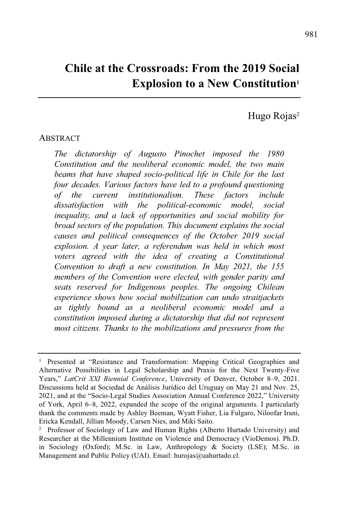# **Chile at the Crossroads: From the 2019 Social Explosion to a New Constitution<sup>1</sup>**

Hugo Rojas<sup>2</sup>

#### ABSTRACT

*The dictatorship of Augusto Pinochet imposed the 1980 Constitution and the neoliberal economic model, the two main beams that have shaped socio-political life in Chile for the last four decades. Various factors have led to a profound questioning of the current institutionalism. These factors include dissatisfaction with the political-economic model, social inequality, and a lack of opportunities and social mobility for broad sectors of the population. This document explains the social causes and political consequences of the October 2019 social explosion. A year later, a referendum was held in which most voters agreed with the idea of creating a Constitutional Convention to draft a new constitution. In May 2021, the 155 members of the Convention were elected, with gender parity and seats reserved for Indigenous peoples. The ongoing Chilean experience shows how social mobilization can undo straitjackets as tightly bound as a neoliberal economic model and a constitution imposed during a dictatorship that did not represent most citizens. Thanks to the mobilizations and pressures from the*

<sup>1</sup> Presented at "Resistance and Transformation: Mapping Critical Geographies and Alternative Possibilities in Legal Scholarship and Praxis for the Next Twenty-Five Years," *LatCrit XXI Biennial Conference*, University of Denver, October 8–9, 2021. Discussions held at Sociedad de Análisis Jurídico del Uruguay on May 21 and Nov. 25, 2021, and at the "Socio-Legal Studies Association Annual Conference 2022," University of York, April 6–8, 2022, expanded the scope of the original arguments. I particularly thank the comments made by Ashley Beeman, Wyatt Fisher, Lia Fulgaro, Niloofar Irani, Ericka Kendall, Jillian Moody, Carsen Nies, and Miki Saito.

<sup>2</sup> Professor of Sociology of Law and Human Rights (Alberto Hurtado University) and Researcher at the Millennium Institute on Violence and Democracy (VioDemos). Ph.D. in Sociology (Oxford); M.Sc. in Law, Anthropology & Society (LSE); M.Sc. in Management and Public Policy (UAI). Email: hurojas@uahurtado.cl.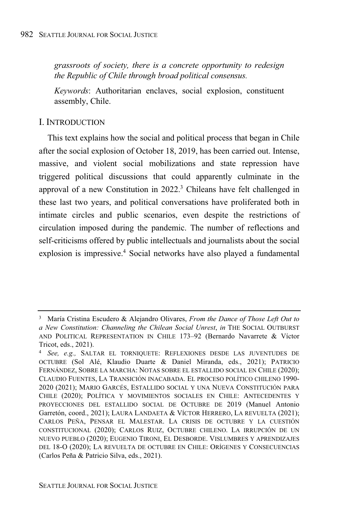*grassroots of society, there is a concrete opportunity to redesign the Republic of Chile through broad political consensus.*

*Keywords*: Authoritarian enclaves, social explosion, constituent assembly, Chile.

#### I. INTRODUCTION

This text explains how the social and political process that began in Chile after the social explosion of October 18, 2019, has been carried out. Intense, massive, and violent social mobilizations and state repression have triggered political discussions that could apparently culminate in the approval of a new Constitution in 2022. <sup>3</sup> Chileans have felt challenged in these last two years, and political conversations have proliferated both in intimate circles and public scenarios, even despite the restrictions of circulation imposed during the pandemic. The number of reflections and self-criticisms offered by public intellectuals and journalists about the social explosion is impressive. <sup>4</sup> Social networks have also played a fundamental

<sup>3</sup> María Cristina Escudero & Alejandro Olivares, *From the Dance of Those Left Out to a New Constitution: Channeling the Chilean Social Unrest*, *in* THE SOCIAL OUTBURST AND POLITICAL REPRESENTATION IN CHILE 173-92 (Bernardo Navarrete & Víctor Tricot, eds., 2021).

<sup>4</sup> *See, e.g.,* SALTAR EL TORNIQUETE: REFLEXIONES DESDE LAS JUVENTUDES DE OCTUBRE (Sol Alé, Klaudio Duarte & Daniel Miranda, eds., 2021); PATRICIO FERNÁNDEZ, SOBRE LA MARCHA: NOTAS SOBRE EL ESTALLIDO SOCIAL EN CHILE (2020); CLAUDIO FUENTES, LA TRANSICIÓN INACABADA. EL PROCESO POLÍTICO CHILENO 1990- 2020 (2021); MARIO GARCÉS, ESTALLIDO SOCIAL Y UNA NUEVA CONSTITUCIÓN PARA CHILE (2020); POLÍTICA Y MOVIMIENTOS SOCIALES EN CHILE: ANTECEDENTES Y PROYECCIONES DEL ESTALLIDO SOCIAL DE OCTUBRE DE 2019 (Manuel Antonio Garretón, coord., 2021); LAURA LANDAETA & VÍCTOR HERRERO, LA REVUELTA (2021); CARLOS PEÑA, PENSAR EL MALESTAR. LA CRISIS DE OCTUBRE Y LA CUESTIÓN CONSTITUCIONAL (2020); CARLOS RUIZ, OCTUBRE CHILENO. LA IRRUPCIÓN DE UN NUEVO PUEBLO (2020); EUGENIO TIRONI, EL DESBORDE. VISLUMBRES Y APRENDIZAJES DEL 18-O (2020); LA REVUELTA DE OCTUBRE EN CHILE: ORÍGENES Y CONSECUENCIAS (Carlos Peña & Patricio Silva, eds., 2021).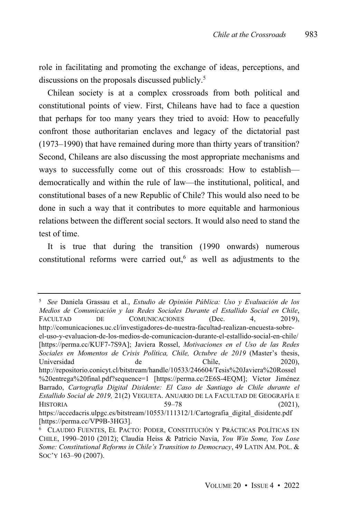role in facilitating and promoting the exchange of ideas, perceptions, and discussions on the proposals discussed publicly. 5

Chilean society is at a complex crossroads from both political and constitutional points of view. First, Chileans have had to face a question that perhaps for too many years they tried to avoid: How to peacefully confront those authoritarian enclaves and legacy of the dictatorial past (1973–1990) that have remained during more than thirty years of transition? Second, Chileans are also discussing the most appropriate mechanisms and ways to successfully come out of this crossroads: How to establish democratically and within the rule of law—the institutional, political, and constitutional bases of a new Republic of Chile? This would also need to be done in such a way that it contributes to more equitable and harmonious relations between the different social sectors. It would also need to stand the test of time.

It is true that during the transition (1990 onwards) numerous constitutional reforms were carried out, 6 as well as adjustments to the

<sup>5</sup> *See* Daniela Grassau et al., *Estudio de Opinión Pública: Uso y Evaluación de los Medios de Comunicación y las Redes Sociales Durante el Estallido Social en Chile*, FACULTAD DE COMUNICACIONES (Dec. 4, 2019). http://comunicaciones.uc.cl/investigadores-de-nuestra-facultad-realizan-encuesta-sobreel-uso-y-evaluacion-de-los-medios-de-comunicacion-durante-el-estallido-social-en-chile/ [https://perma.cc/KUF7-7S9A]; Javiera Rossel, *Motivaciones en el Uso de las Redes Sociales en Momentos de Crisis Política, Chile, Octubre de 2019* (Master's thesis, Universidad de de Chile, 2020), http://repositorio.conicyt.cl/bitstream/handle/10533/246604/Tesis%20Javiera%20Rossel %20entrega%20final.pdf?sequence=1 [https://perma.cc/2E6S-4EQM]; Víctor Jiménez Barrado, *Cartografía Digital Disidente: El Caso de Santiago de Chile durante el Estallido Social de 2019,* 21(2) VEGUETA. ANUARIO DE LA FACULTAD DE GEOGRAFÍA E  $HISTORIA$  (2021), https://accedacris.ulpgc.es/bitstream/10553/111312/1/Cartografia\_digital\_disidente.pdf [https://perma.cc/VP9B-3HG3].

<sup>6</sup> CLAUDIO FUENTES, EL PACTO: PODER, CONSTITUCIÓN Y PRÁCTICAS POLÍTICAS EN CHILE, 1990–2010 (2012); Claudia Heiss & Patricio Navia, *You Win Some, You Lose Some: Constitutional Reforms in Chile's Transition to Democracy*, 49 LATIN AM. POL. & SOC'Y 163-90 (2007).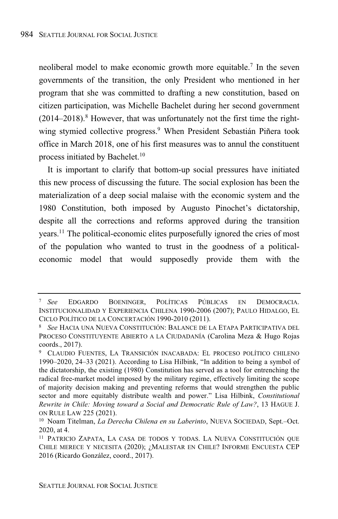neoliberal model to make economic growth more equitable.<sup>7</sup> In the seven governments of the transition, the only President who mentioned in her program that she was committed to drafting a new constitution, based on citizen participation, was Michelle Bachelet during her second government (2014–2018). <sup>8</sup> However, that was unfortunately not the first time the rightwing stymied collective progress.<sup>9</sup> When President Sebastián Piñera took office in March 2018, one of his first measures was to annul the constituent process initiated by Bachelet. 10

It is important to clarify that bottom-up social pressures have initiated this new process of discussing the future. The social explosion has been the materialization of a deep social malaise with the economic system and the 1980 Constitution, both imposed by Augusto Pinochet's dictatorship, despite all the corrections and reforms approved during the transition years. <sup>11</sup> The political-economic elites purposefully ignored the cries of most of the population who wanted to trust in the goodness of a politicaleconomic model that would supposedly provide them with the

<sup>7</sup> *See* EDGARDO BOENINGER, POLÍTICAS PÚBLICAS EN DEMOCRACIA. INSTITUCIONALIDAD Y EXPERIENCIA CHILENA 1990-2006 (2007); PAULO HIDALGO, EL CICLO POLÍTICO DE LA CONCERTACIÓN 1990-2010 (2011).

<sup>8</sup> *See* HACIA UNA NUEVA CONSTITUCIÓN: BALANCE DE LA ETAPA PARTICIPATIVA DEL PROCESO CONSTITUYENTE ABIERTO A LA CIUDADANÍA (Carolina Meza & Hugo Rojas coords., 2017).

<sup>9</sup> CLAUDIO FUENTES, LA TRANSICIÓN INACABADA: EL PROCESO POLÍTICO CHILENO 1990–2020, 24–33 (2021). According to Lisa Hilbink, "In addition to being a symbol of the dictatorship, the existing (1980) Constitution has served as a tool for entrenching the radical free-market model imposed by the military regime, effectively limiting the scope of majority decision making and preventing reforms that would strengthen the public sector and more equitably distribute wealth and power." Lisa Hilbink, *Constitutional Rewrite in Chile: Moving toward a Social and Democratic Rule of Law?*, 13 HAGUE J. ON RULE LAW 225 (2021).

<sup>10</sup> Noam Titelman, *La Derecha Chilena en su Laberinto*, NUEVA SOCIEDAD, Sept.–Oct. 2020, at 4.

<sup>11</sup> PATRICIO ZAPATA, LA CASA DE TODOS Y TODAS. LA NUEVA CONSTITUCIÓN QUE CHILE MERECE Y NECESITA (2020); ¿MALESTAR EN CHILE? INFORME ENCUESTA CEP 2016 (Ricardo González, coord., 2017).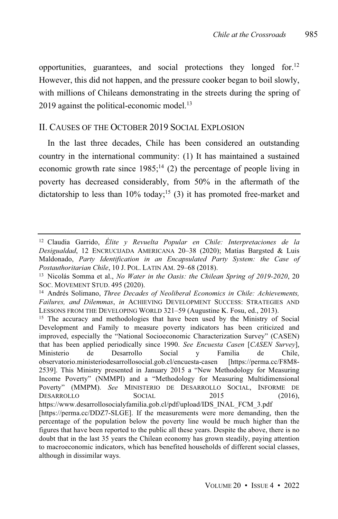opportunities, guarantees, and social protections they longed for.<sup>12</sup> However, this did not happen, and the pressure cooker began to boil slowly, with millions of Chileans demonstrating in the streets during the spring of 2019 against the political-economic model.<sup>13</sup>

#### II. CAUSES OF THE OCTOBER 2019 SOCIAL EXPLOSION

In the last three decades, Chile has been considered an outstanding country in the international community: (1) It has maintained a sustained economic growth rate since  $1985$ ;<sup>14</sup> (2) the percentage of people living in poverty has decreased considerably, from 50% in the aftermath of the dictatorship to less than  $10\%$  today;<sup>15</sup> (3) it has promoted free-market and

<sup>12</sup> Claudia Garrido, *Élite y Revuelta Popular en Chile: Interpretaciones de la Desigualdad*, 12 ENCRUCIJADA AMERICANA 20‒38 (2020); Matías Bargsted & Luis Maldonado, *Party Identification in an Encapsulated Party System: the Case of Postauthoritarian Chile*, 10 J. POL. LATIN AM. 29-68 (2018).

<sup>13</sup> Nicolás Somma et al., *No Water in the Oasis: the Chilean Spring of 2019-2020*, 20 SOC. MOVEMENT STUD. 495 (2020).

<sup>14</sup> Andrés Solimano, *Three Decades of Neoliberal Economics in Chile: Achievements, Failures, and Dilemmas*, *in* ACHIEVING DEVELOPMENT SUCCESS: STRATEGIES AND LESSONS FROM THE DEVELOPING WORLD 321–59 (Augustine K. Fosu, ed., 2013).

<sup>&</sup>lt;sup>15</sup> The accuracy and methodologies that have been used by the Ministry of Social Development and Family to measure poverty indicators has been criticized and improved, especially the "National Socioeconomic Characterization Survey" (CASEN) that has been applied periodically since 1990. *See Encuesta Casen* [*CASEN Survey*], Ministerio de Desarrollo Social y Familia de Chile, observatorio.ministeriodesarrollosocial.gob.cl/encuesta-casen [https://perma.cc/F8M8- 2539]. This Ministry presented in January 2015 a "New Methodology for Measuring Income Poverty" (NMMPI) and a "Methodology for Measuring Multidimensional Poverty" (MMPM). *See* MINISTERIO DE DESARROLLO SOCIAL, INFORME DE DESARROLLO SOCIAL 2015 (2016). https://www.desarrollosocialyfamilia.gob.cl/pdf/upload/IDS\_INAL\_FCM\_3.pdf [https://perma.cc/DDZ7-SLGE]. If the measurements were more demanding, then the percentage of the population below the poverty line would be much higher than the figures that have been reported to the public all these years. Despite the above, there is no

doubt that in the last 35 years the Chilean economy has grown steadily, paying attention to macroeconomic indicators, which has benefited households of different social classes, although in dissimilar ways.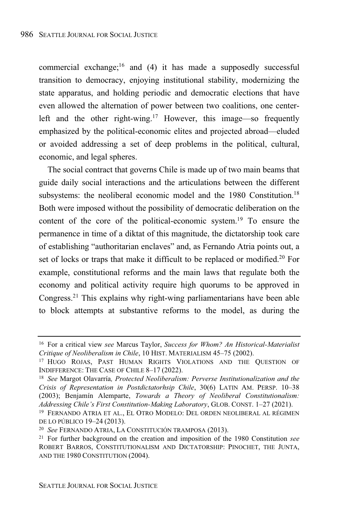commercial exchange;<sup>16</sup> and (4) it has made a supposedly successful transition to democracy, enjoying institutional stability, modernizing the state apparatus, and holding periodic and democratic elections that have even allowed the alternation of power between two coalitions, one centerleft and the other right-wing.<sup>17</sup> However, this image—so frequently emphasized by the political-economic elites and projected abroad—eluded or avoided addressing a set of deep problems in the political, cultural, economic, and legal spheres.

The social contract that governs Chile is made up of two main beams that guide daily social interactions and the articulations between the different subsystems: the neoliberal economic model and the 1980 Constitution.<sup>18</sup> Both were imposed without the possibility of democratic deliberation on the content of the core of the political-economic system. <sup>19</sup> To ensure the permanence in time of a diktat of this magnitude, the dictatorship took care of establishing "authoritarian enclaves" and, as Fernando Atria points out, a set of locks or traps that make it difficult to be replaced or modified.<sup>20</sup> For example, constitutional reforms and the main laws that regulate both the economy and political activity require high quorums to be approved in Congress.<sup>21</sup> This explains why right-wing parliamentarians have been able to block attempts at substantive reforms to the model, as during the

<sup>16</sup> For a critical view *see* Marcus Taylor, *Success for Whom? An Historical-Materialist Critique of Neoliberalism in Chile*, 10 HIST. MATERIALISM 45-75 (2002).

<sup>17</sup> HUGO ROJAS, PAST HUMAN RIGHTS VIOLATIONS AND THE QUESTION OF INDIFFERENCE: THE CASE OF CHILE 8-17 (2022).

<sup>18</sup> *See* Margot Olavarría*, Protected Neoliberalism: Perverse Institutionalization and the Crisis of Representation in Postdictatorhsip Chile*, 30(6) LATIN AM. PERSP. 10‒38 (2003); Benjamín Alemparte, *Towards a Theory of Neoliberal Constitutionalism: Addressing Chile's First Constitution-Making Laboratory*, GLOB. CONST. 1‒27 (2021).

<sup>19</sup> FERNANDO ATRIA ET AL., EL OTRO MODELO: DEL ORDEN NEOLIBERAL AL RÉGIMEN DE LO PÚBLICO 19-24 (2013).

<sup>20</sup> *See* FERNANDO ATRIA, LA CONSTITUCIÓN TRAMPOSA (2013).

<sup>21</sup> For further background on the creation and imposition of the 1980 Constitution *see* ROBERT BARROS, CONSTITUTIONALISM AND DICTATORSHIP: PINOCHET, THE JUNTA, AND THE 1980 CONSTITUTION (2004).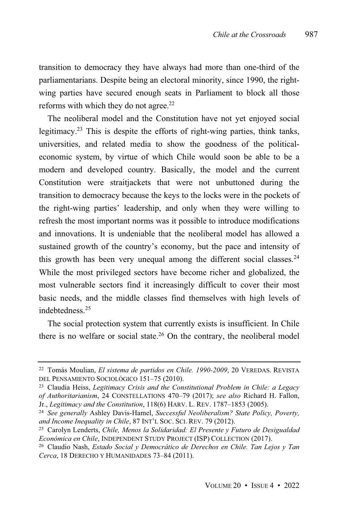transition to democracy they have always had more than one-third of the parliamentarians. Despite being an electoral minority, since 1990, the rightwing parties have secured enough seats in Parliament to block all those reforms with which they do not agree. 22

The neoliberal model and the Constitution have not yet enjoyed social legitimacy.<sup>23</sup> This is despite the efforts of right-wing parties, think tanks, universities, and related media to show the goodness of the politicaleconomic system, by virtue of which Chile would soon be able to be a modern and developed country. Basically, the model and the current Constitution were straitjackets that were not unbuttoned during the transition to democracy because the keys to the locks were in the pockets of the right-wing parties' leadership, and only when they were willing to refresh the most important norms was it possible to introduce modifications and innovations. It is undeniable that the neoliberal model has allowed a sustained growth of the country's economy, but the pace and intensity of this growth has been very unequal among the different social classes.<sup>24</sup> While the most privileged sectors have become richer and globalized, the most vulnerable sectors find it increasingly difficult to cover their most basic needs, and the middle classes find themselves with high levels of indebtedness.<sup>25</sup>

The social protection system that currently exists is insufficient. In Chile there is no welfare or social state. $26$  On the contrary, the neoliberal model

<sup>22</sup> Tomás Moulian, *El sistema de partidos en Chile. 1990-2009*, 20 VEREDAS. REVISTA DEL PENSAMIENTO SOCIOLÓGICO 151-75 (2010).

<sup>23</sup> Claudia Heiss, *Legitimacy Crisis and the Constitutional Problem in Chile: a Legacy of Authoritarianism*, 24 CONSTELLATIONS 470‒79 (2017); *see also* Richard H. Fallon, Jr., *Legitimacy and the Constitution*, 118(6) HARV. L. REV. 1787‒1853 (2005).

<sup>24</sup> *See generally* Ashley Davis-Hamel, *Successful Neoliberalism? State Policy, Poverty, and Income Inequality in Chile*, 87 INT'L SOC. SCI. REV. 79 (2012).

<sup>25</sup> Carolyn Lenderts, *Chile, Menos la Solidaridad: El Presente y Futuro de Desigualdad Económica en Chile*, INDEPENDENT STUDY PROJECT (ISP) COLLECTION (2017).

<sup>26</sup> Claudio Nash, *Estado Social y Democrático de Derechos en Chile. Tan Lejos y Tan Cerca*, 18 DERECHO <sup>Y</sup> HUMANIDADES 73‒84 (2011).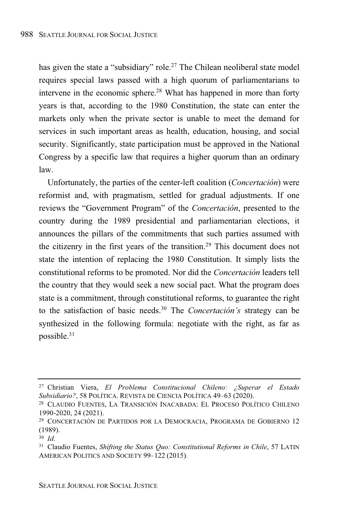has given the state a "subsidiary" role.<sup>27</sup> The Chilean neoliberal state model requires special laws passed with a high quorum of parliamentarians to intervene in the economic sphere. <sup>28</sup> What has happened in more than forty years is that, according to the 1980 Constitution, the state can enter the markets only when the private sector is unable to meet the demand for services in such important areas as health, education, housing, and social security. Significantly, state participation must be approved in the National Congress by a specific law that requires a higher quorum than an ordinary law.

Unfortunately, the parties of the center-left coalition (*Concertación*) were reformist and, with pragmatism, settled for gradual adjustments. If one reviews the "Government Program" of the *Concertación*, presented to the country during the 1989 presidential and parliamentarian elections, it announces the pillars of the commitments that such parties assumed with the citizenry in the first years of the transition.<sup>29</sup> This document does not state the intention of replacing the 1980 Constitution. It simply lists the constitutional reforms to be promoted. Nor did the *Concertación* leaders tell the country that they would seek a new social pact. What the program does state is a commitment, through constitutional reforms, to guarantee the right to the satisfaction of basic needs.<sup>30</sup> The *Concertación's* strategy can be synthesized in the following formula: negotiate with the right, as far as possible. 31

<sup>27</sup> Christian Viera, *El Problema Constitucional Chileno: ¿Superar el Estado* Subsidiario?, 58 POLÍTICA. REVISTA DE CIENCIA POLÍTICA 49-63 (2020).

<sup>28</sup> CLAUDIO FUENTES, LA TRANSICIÓN INACABADA: EL PROCESO POLÍTICO CHILENO 1990-2020, 24 (2021).

<sup>29</sup> CONCERTACIÓN DE PARTIDOS POR LA DEMOCRACIA, PROGRAMA DE GOBIERNO 12 (1989).

<sup>30</sup> *Id*.

<sup>31</sup> Claudio Fuentes, *Shifting the Status Quo: Constitutional Reforms in Chile*, 57 LATIN AMERICAN POLITICS AND SOCIETY 99-122 (2015).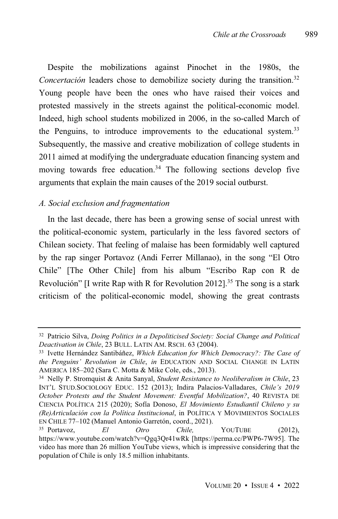Despite the mobilizations against Pinochet in the 1980s, the *Concertación* leaders chose to demobilize society during the transition. 32 Young people have been the ones who have raised their voices and protested massively in the streets against the political-economic model. Indeed, high school students mobilized in 2006, in the so-called March of the Penguins, to introduce improvements to the educational system.<sup>33</sup> Subsequently, the massive and creative mobilization of college students in 2011 aimed at modifying the undergraduate education financing system and moving towards free education.<sup>34</sup> The following sections develop five arguments that explain the main causes of the 2019 social outburst.

#### *A. Social exclusion and fragmentation*

In the last decade, there has been a growing sense of social unrest with the political-economic system, particularly in the less favored sectors of Chilean society. That feeling of malaise has been formidably well captured by the rap singer Portavoz (Andi Ferrer Millanao), in the song "El Otro Chile" [The Other Chile] from his album "Escribo Rap con R de Revolución" [I write Rap with R for Revolution 2012].<sup>35</sup> The song is a stark criticism of the political-economic model, showing the great contrasts

<sup>32</sup> Patricio Silva, *Doing Politics in a Depoliticised Society: Social Change and Political Deactivation in Chile*, 23 BULL. LATIN AM. RSCH. 63 (2004).

<sup>33</sup> Ivette Hernández Santibáñez, *Which Education for Which Democracy?: The Case of the Penguins' Revolution in Chile*, *in* EDUCATION AND SOCIAL CHANGE IN LATIN AMERICA 185‒202 (Sara C. Motta & Mike Cole, eds., 2013).

<sup>34</sup> Nelly P. Stromquist & Anita Sanyal, *Student Resistance to Neoliberalism in Chile*, 23 INT'L STUD.SOCIOLOGY EDUC. 152 (2013); Indira Palacios-Valladares, *Chile's 2019 October Protests and the Student Movement: Eventful Mobilization?*, 40 REVISTA DE CIENCIA POLÍTICA 215 (2020); Sofía Donoso, *El Movimiento Estudiantil Chileno y su (Re)Articulación con la Política Institucional*, in POLÍTICA Y MOVIMIENTOS SOCIALES EN CHILE 77‒102 (Manuel Antonio Garretón, coord., 2021).

<sup>35</sup> Portavoz, *El Otro Chile,* YOUTUBE (2012), https://www.youtube.com/watch?v=Qgq3Qr41wRk [https://perma.cc/PWP6-7W95]. The video has more than 26 million YouTube views, which is impressive considering that the population of Chile is only 18.5 million inhabitants.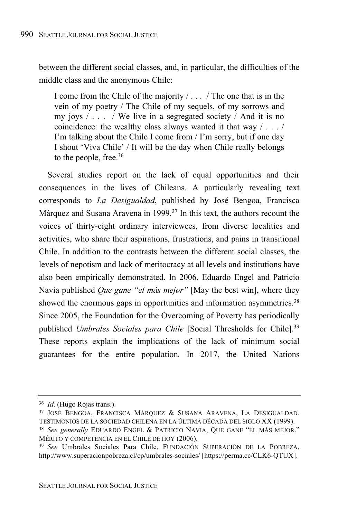between the different social classes, and, in particular, the difficulties of the middle class and the anonymous Chile:

I come from the Chile of the majority / . . . / The one that is in the vein of my poetry / The Chile of my sequels, of my sorrows and my joys  $/ \ldots$  / We live in a segregated society  $/$  And it is no coincidence: the wealthy class always wanted it that way / . . . / I'm talking about the Chile I come from / I'm sorry, but if one day I shout 'Viva Chile' / It will be the day when Chile really belongs to the people, free. 36

Several studies report on the lack of equal opportunities and their consequences in the lives of Chileans. A particularly revealing text corresponds to *La Desigualdad*, published by José Bengoa, Francisca Márquez and Susana Aravena in 1999. <sup>37</sup> In this text, the authors recount the voices of thirty-eight ordinary interviewees, from diverse localities and activities, who share their aspirations, frustrations, and pains in transitional Chile. In addition to the contrasts between the different social classes, the levels of nepotism and lack of meritocracy at all levels and institutions have also been empirically demonstrated. In 2006, Eduardo Engel and Patricio Navia published *Que gane "el más mejor"* [May the best win], where they showed the enormous gaps in opportunities and information asymmetries.<sup>38</sup> Since 2005, the Foundation for the Overcoming of Poverty has periodically published *Umbrales Sociales para Chile* [Social Thresholds for Chile].<sup>39</sup> These reports explain the implications of the lack of minimum social guarantees for the entire population*.* In 2017, the United Nations

<sup>36</sup> *Id*. (Hugo Rojas trans.).

<sup>37</sup> JOSÉ BENGOA, FRANCISCA MÁRQUEZ & SUSANA ARAVENA, LA DESIGUALDAD. TESTIMONIOS DE LA SOCIEDAD CHILENA EN LA ÚLTIMA DÉCADA DEL SIGLO XX (1999).

<sup>38</sup> *See generally* EDUARDO ENGEL & PATRICIO NAVIA, QUE GANE "EL MÁS MEJOR." MÉRITO Y COMPETENCIA EN EL CHILE DE HOY (2006).

<sup>39</sup> *See* Umbrales Sociales Para Chile, FUNDACIÓN SUPERACIÓN DE LA POBREZA, http://www.superacionpobreza.cl/cp/umbrales-sociales/ [https://perma.cc/CLK6-QTUX].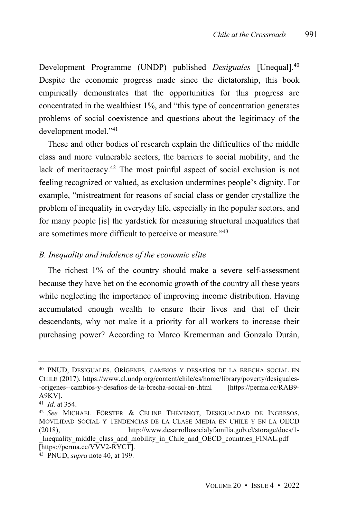Development Programme (UNDP) published *Desiguales* [Unequal].<sup>40</sup> Despite the economic progress made since the dictatorship, this book empirically demonstrates that the opportunities for this progress are concentrated in the wealthiest 1%, and "this type of concentration generates problems of social coexistence and questions about the legitimacy of the development model."<sup>41</sup>

These and other bodies of research explain the difficulties of the middle class and more vulnerable sectors, the barriers to social mobility, and the lack of meritocracy.<sup>42</sup> The most painful aspect of social exclusion is not feeling recognized or valued, as exclusion undermines people's dignity. For example, "mistreatment for reasons of social class or gender crystallize the problem of inequality in everyday life, especially in the popular sectors, and for many people [is] the yardstick for measuring structural inequalities that are sometimes more difficult to perceive or measure." 43

#### *B. Inequality and indolence of the economic elite*

The richest 1% of the country should make a severe self-assessment because they have bet on the economic growth of the country all these years while neglecting the importance of improving income distribution. Having accumulated enough wealth to ensure their lives and that of their descendants, why not make it a priority for all workers to increase their purchasing power? According to Marco Kremerman and Gonzalo Durán,

<sup>40</sup> PNUD, DESIGUALES. ORÍGENES, CAMBIOS Y DESAFÍOS DE LA BRECHA SOCIAL EN CHILE (2017), https://www.cl.undp.org/content/chile/es/home/library/poverty/desiguales- -origenes--cambios-y-desafios-de-la-brecha-social-en-.html [https://perma.cc/RAB9- A9KV].

<sup>41</sup> *Id*. at 354.

<sup>42</sup> *See* MICHAEL FÖRSTER & CÉLINE THÉVENOT, DESIGUALDAD DE INGRESOS, MOVILIDAD SOCIAL Y TENDENCIAS DE LA CLASE MEDIA EN CHILE Y EN LA OECD (2018), http://www.desarrollosocialyfamilia.gob.cl/storage/docs/1- Inequality middle class and mobility in Chile and OECD countries FINAL.pdf

<sup>[</sup>https://perma.cc/VVV2-RYCT].

<sup>43</sup> PNUD, *supra* note 40, at 199.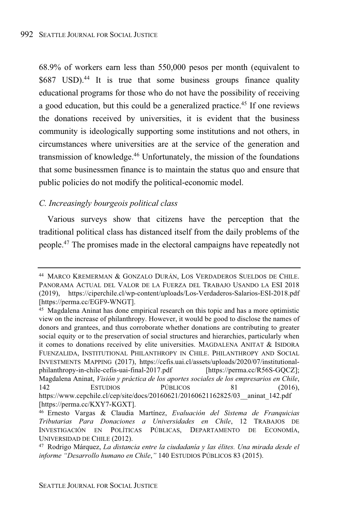68.9% of workers earn less than 550,000 pesos per month (equivalent to \$687 USD).<sup>44</sup> It is true that some business groups finance quality educational programs for those who do not have the possibility of receiving a good education, but this could be a generalized practice. <sup>45</sup> If one reviews the donations received by universities, it is evident that the business community is ideologically supporting some institutions and not others, in circumstances where universities are at the service of the generation and transmission of knowledge.<sup>46</sup> Unfortunately, the mission of the foundations that some businessmen finance is to maintain the status quo and ensure that public policies do not modify the political-economic model.

#### *C. Increasingly bourgeois political class*

Various surveys show that citizens have the perception that the traditional political class has distanced itself from the daily problems of the people.<sup>47</sup> The promises made in the electoral campaigns have repeatedly not

<sup>44</sup> MARCO KREMERMAN & GONZALO DURÁN, LOS VERDADEROS SUELDOS DE CHILE. PANORAMA ACTUAL DEL VALOR DE LA FUERZA DEL TRABAJO USANDO LA ESI 2018 (2019), https://ciperchile.cl/wp-content/uploads/Los-Verdaderos-Salarios-ESI-2018.pdf [https://perma.cc/EGF9-WNGT].

<sup>45</sup> Magdalena Aninat has done empirical research on this topic and has a more optimistic view on the increase of philanthropy. However, it would be good to disclose the names of donors and grantees, and thus corroborate whether donations are contributing to greater social equity or to the preservation of social structures and hierarchies, particularly when it comes to donations received by elite universities. MAGDALENA ANITAT & ISIDORA FUENZALIDA, INSTITUTIONAL PHILANTHROPY IN CHILE. PHILANTHROPY AND SOCIAL INVESTMENTS MAPPING (2017), https://cefis.uai.cl/assets/uploads/2020/07/institutionalphilanthropy-in-chile-cefis-uai-final-2017.pdf Magdalena Aninat, *Visión y práctica de los aportes sociales de los empresarios en Chile*, 142 ESTUDIOS PÚBLICOS 81 (2016), https://www.cepchile.cl/cep/site/docs/20160621/20160621162825/03\_\_aninat\_142.pdf [https://perma.cc/KXY7-KGXT].

<sup>46</sup> Ernesto Vargas & Claudia Martínez, *Evaluación del Sistema de Franquicias Tributarias Para Donaciones a Universidades en Chile*, 12 TRABAJOS DE INVESTIGACIÓN EN POLÍTICAS PÚBLICAS, DEPARTAMENTO DE ECONOMÍA, UNIVERSIDAD DE CHILE (2012).

<sup>47</sup> Rodrigo Márquez, *La distancia entre la ciudadanía y las élites. Una mirada desde el informe "Desarrollo humano en Chile*,*"* 140 ESTUDIOS PÚBLICOS 83 (2015).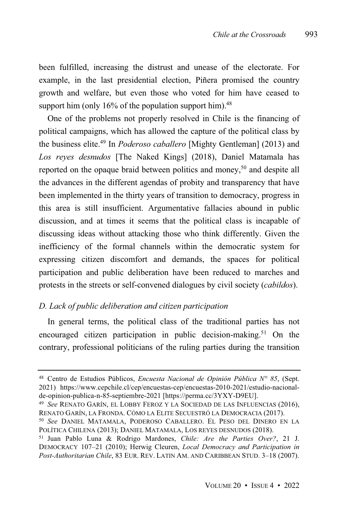been fulfilled, increasing the distrust and unease of the electorate. For example, in the last presidential election, Piñera promised the country growth and welfare, but even those who voted for him have ceased to support him (only  $16\%$  of the population support him).<sup>48</sup>

One of the problems not properly resolved in Chile is the financing of political campaigns, which has allowed the capture of the political class by the business elite. <sup>49</sup> In *Poderoso caballero* [Mighty Gentleman] (2013) and *Los reyes desnudos* [The Naked Kings] (2018), Daniel Matamala has reported on the opaque braid between politics and money,<sup>50</sup> and despite all the advances in the different agendas of probity and transparency that have been implemented in the thirty years of transition to democracy, progress in this area is still insufficient. Argumentative fallacies abound in public discussion, and at times it seems that the political class is incapable of discussing ideas without attacking those who think differently. Given the inefficiency of the formal channels within the democratic system for expressing citizen discomfort and demands, the spaces for political participation and public deliberation have been reduced to marches and protests in the streets or self-convened dialogues by civil society (*cabildos*).

#### *D. Lack of public deliberation and citizen participation*

In general terms, the political class of the traditional parties has not encouraged citizen participation in public decision-making.<sup>51</sup> On the contrary, professional politicians of the ruling parties during the transition

<sup>48</sup> Centro de Estudios Públicos, *Encuesta Nacional de Opinión Pública N° 85*, (Sept. 2021) https://www.cepchile.cl/cep/encuestas-cep/encuestas-2010-2021/estudio-nacionalde-opinion-publica-n-85-septiembre-2021 [https://perma.cc/3YXY-D9EU].

<sup>49</sup> *See* RENATO GARÍN, EL LOBBY FEROZ Y LA SOCIEDAD DE LAS INFLUENCIAS (2016), RENATO GARÍN, LA FRONDA. CÓMO LA ELITE SECUESTRÓ LA DEMOCRACIA (2017).

<sup>50</sup> *See* DANIEL MATAMALA, PODEROSO CABALLERO. EL PESO DEL DINERO EN LA POLÍTICA CHILENA (2013); DANIEL MATAMALA, LOS REYES DESNUDOS (2018).

<sup>51</sup> Juan Pablo Luna & Rodrigo Mardones, *Chile: Are the Parties Over?*, 21 J. DEMOCRACY 107‒21 (2010); Herwig Cleuren, *Local Democracy and Participation in Post-Authoritarian Chile*, 83 EUR. REV. LATIN AM. AND CARIBBEAN STUD. 3‒18 (2007).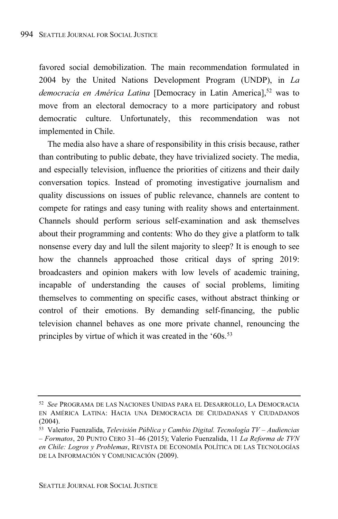favored social demobilization. The main recommendation formulated in 2004 by the United Nations Development Program (UNDP), in *La democracia en América Latina* [Democracy in Latin America],<sup>52</sup> was to move from an electoral democracy to a more participatory and robust democratic culture. Unfortunately, this recommendation was not implemented in Chile.

The media also have a share of responsibility in this crisis because, rather than contributing to public debate, they have trivialized society. The media, and especially television, influence the priorities of citizens and their daily conversation topics. Instead of promoting investigative journalism and quality discussions on issues of public relevance, channels are content to compete for ratings and easy tuning with reality shows and entertainment. Channels should perform serious self-examination and ask themselves about their programming and contents: Who do they give a platform to talk nonsense every day and lull the silent majority to sleep? It is enough to see how the channels approached those critical days of spring 2019: broadcasters and opinion makers with low levels of academic training, incapable of understanding the causes of social problems, limiting themselves to commenting on specific cases, without abstract thinking or control of their emotions. By demanding self-financing, the public television channel behaves as one more private channel, renouncing the principles by virtue of which it was created in the '60s.<sup>53</sup>

<sup>52</sup> *See* PROGRAMA DE LAS NACIONES UNIDAS PARA EL DESARROLLO, LA DEMOCRACIA EN AMÉRICA LATINA: HACIA UNA DEMOCRACIA DE CIUDADANAS Y CIUDADANOS (2004).

<sup>53</sup> Valerio Fuenzalida, *Televisión Pública y Cambio Digital. Tecnología TV – Audiencias – Formatos*, 20 PUNTO CERO 31‒46 (2015); Valerio Fuenzalida, 11 *La Reforma de TVN en Chile: Logros y Problemas*, REVISTA DE ECONOMÍA POLÍTICA DE LAS TECNOLOGÍAS DE LA INFORMACIÓN Y COMUNICACIÓN (2009).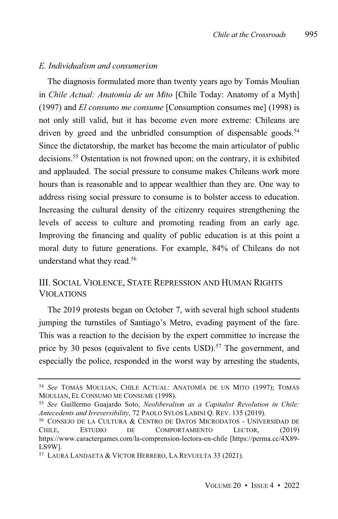#### *E. Individualism and consumerism*

The diagnosis formulated more than twenty years ago by Tomás Moulian in *Chile Actual: Anatomía de un Mito* [Chile Today: Anatomy of a Myth] (1997) and *El consumo me consume* [Consumption consumes me] (1998) is not only still valid, but it has become even more extreme: Chileans are driven by greed and the unbridled consumption of dispensable goods.<sup>54</sup> Since the dictatorship, the market has become the main articulator of public decisions.<sup>55</sup> Ostentation is not frowned upon; on the contrary, it is exhibited and applauded. The social pressure to consume makes Chileans work more hours than is reasonable and to appear wealthier than they are. One way to address rising social pressure to consume is to bolster access to education. Increasing the cultural density of the citizenry requires strengthening the levels of access to culture and promoting reading from an early age. Improving the financing and quality of public education is at this point a moral duty to future generations. For example, 84% of Chileans do not understand what they read.<sup>56</sup>

### III. SOCIAL VIOLENCE, STATE REPRESSION AND HUMAN RIGHTS **VIOLATIONS**

The 2019 protests began on October 7, with several high school students jumping the turnstiles of Santiago's Metro, evading payment of the fare. This was a reaction to the decision by the expert committee to increase the price by 30 pesos (equivalent to five cents USD).<sup>57</sup> The government, and especially the police, responded in the worst way by arresting the students,

<sup>54</sup> *See* TOMÁS MOULIAN, CHILE ACTUAL: ANATOMÍA DE UN MITO (1997); TOMÁS MOULIAN, EL CONSUMO ME CONSUME (1998).

<sup>55</sup> *See* Guillermo Guajardo Soto, *Neoliberalism as a Capitalist Revolution in Chile: Antecedents and Irreversibility*, 72 PAOLO SYLOS LABINI Q. REV. 135 (2019).

<sup>56</sup> CONSEJO DE LA CULTURA & CENTRO DE DATOS MICRODATOS - UNIVERSIDAD DE CHILE, ESTUDIO DE COMPORTAMIENTO LECTOR, (2019) https://www.caractergames.com/la-comprension-lectora-en-chile [https://perma.cc/4X89- LS9W].

<sup>57</sup> LAURA LANDAETA & VÍCTOR HERRERO, LA REVUELTA 33 (2021).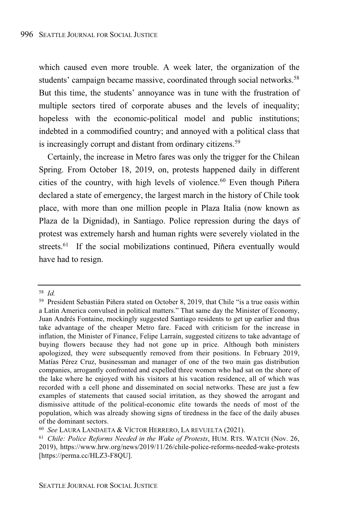which caused even more trouble. A week later, the organization of the students' campaign became massive, coordinated through social networks.<sup>58</sup> But this time, the students' annoyance was in tune with the frustration of multiple sectors tired of corporate abuses and the levels of inequality; hopeless with the economic-political model and public institutions; indebted in a commodified country; and annoyed with a political class that is increasingly corrupt and distant from ordinary citizens.<sup>59</sup>

Certainly, the increase in Metro fares was only the trigger for the Chilean Spring. From October 18, 2019, on, protests happened daily in different cities of the country, with high levels of violence.<sup>60</sup> Even though Piñera declared a state of emergency, the largest march in the history of Chile took place, with more than one million people in Plaza Italia (now known as Plaza de la Dignidad), in Santiago. Police repression during the days of protest was extremely harsh and human rights were severely violated in the streets.<sup>61</sup> If the social mobilizations continued, Piñera eventually would have had to resign.

<sup>58</sup> *Id.*

<sup>59</sup> President Sebastián Piñera stated on October 8, 2019, that Chile "is a true oasis within a Latin America convulsed in political matters." That same day the Minister of Economy, Juan Andrés Fontaine, mockingly suggested Santiago residents to get up earlier and thus take advantage of the cheaper Metro fare. Faced with criticism for the increase in inflation, the Minister of Finance, Felipe Larraín, suggested citizens to take advantage of buying flowers because they had not gone up in price. Although both ministers apologized, they were subsequently removed from their positions. In February 2019, Matías Pérez Cruz, businessman and manager of one of the two main gas distribution companies, arrogantly confronted and expelled three women who had sat on the shore of the lake where he enjoyed with his visitors at his vacation residence, all of which was recorded with a cell phone and disseminated on social networks. These are just a few examples of statements that caused social irritation, as they showed the arrogant and dismissive attitude of the political-economic elite towards the needs of most of the population, which was already showing signs of tiredness in the face of the daily abuses of the dominant sectors.

<sup>60</sup> *See* LAURA LANDAETA & VÍCTOR HERRERO, LA REVUELTA (2021).

<sup>61</sup> *Chile: Police Reforms Needed in the Wake of Protests*, HUM. RTS. WATCH (Nov. 26, 2019), https://www.hrw.org/news/2019/11/26/chile-police-reforms-needed-wake-protests [https://perma.cc/HLZ3-F8QU].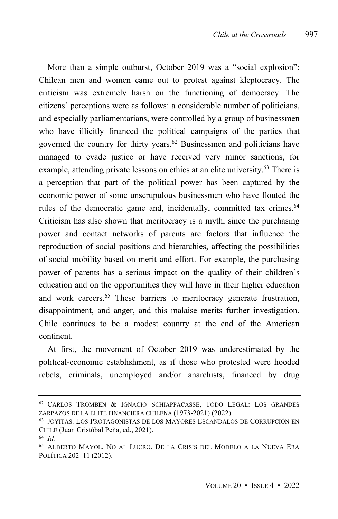More than a simple outburst, October 2019 was a "social explosion": Chilean men and women came out to protest against kleptocracy. The criticism was extremely harsh on the functioning of democracy. The citizens' perceptions were as follows: a considerable number of politicians, and especially parliamentarians, were controlled by a group of businessmen who have illicitly financed the political campaigns of the parties that governed the country for thirty years. <sup>62</sup> Businessmen and politicians have managed to evade justice or have received very minor sanctions, for example, attending private lessons on ethics at an elite university.<sup>63</sup> There is a perception that part of the political power has been captured by the economic power of some unscrupulous businessmen who have flouted the rules of the democratic game and, incidentally, committed tax crimes.<sup>64</sup> Criticism has also shown that meritocracy is a myth, since the purchasing power and contact networks of parents are factors that influence the reproduction of social positions and hierarchies, affecting the possibilities of social mobility based on merit and effort. For example, the purchasing power of parents has a serious impact on the quality of their children's education and on the opportunities they will have in their higher education and work careers.<sup>65</sup> These barriers to meritocracy generate frustration, disappointment, and anger, and this malaise merits further investigation. Chile continues to be a modest country at the end of the American continent.

At first, the movement of October 2019 was underestimated by the political-economic establishment, as if those who protested were hooded rebels, criminals, unemployed and/or anarchists, financed by drug

<sup>62</sup> CARLOS TROMBEN & IGNACIO SCHIAPPACASSE, TODO LEGAL: LOS GRANDES ZARPAZOS DE LA ELITE FINANCIERA CHILENA (1973-2021) (2022).

<sup>63</sup> JOYITAS. LOS PROTAGONISTAS DE LOS MAYORES ESCÁNDALOS DE CORRUPCIÓN EN CHILE (Juan Cristóbal Peña, ed., 2021).

<sup>64</sup> *Id.*

<sup>65</sup> ALBERTO MAYOL, NO AL LUCRO. DE LA CRISIS DEL MODELO A LA NUEVA ERA POLÍTICA 202–11 (2012).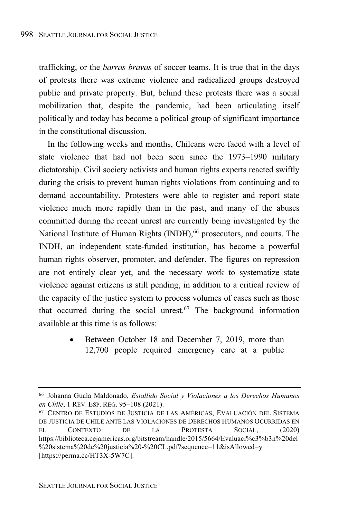trafficking, or the *barras bravas* of soccer teams. It is true that in the days of protests there was extreme violence and radicalized groups destroyed public and private property. But, behind these protests there was a social mobilization that, despite the pandemic, had been articulating itself politically and today has become a political group of significant importance in the constitutional discussion.

In the following weeks and months, Chileans were faced with a level of state violence that had not been seen since the 1973–1990 military dictatorship. Civil society activists and human rights experts reacted swiftly during the crisis to prevent human rights violations from continuing and to demand accountability. Protesters were able to register and report state violence much more rapidly than in the past, and many of the abuses committed during the recent unrest are currently being investigated by the National Institute of Human Rights (INDH), <sup>66</sup> prosecutors, and courts. The INDH, an independent state-funded institution, has become a powerful human rights observer, promoter, and defender. The figures on repression are not entirely clear yet, and the necessary work to systematize state violence against citizens is still pending, in addition to a critical review of the capacity of the justice system to process volumes of cases such as those that occurred during the social unrest. <sup>67</sup> The background information available at this time is as follows:

> • Between October 18 and December 7, 2019, more than 12,700 people required emergency care at a public

<sup>66</sup> Johanna Guala Maldonado, *Estallido Social y Violaciones a los Derechos Humanos en Chile*, 1 REV. ESP. REG. 95-108 (2021).

<sup>67</sup> CENTRO DE ESTUDIOS DE JUSTICIA DE LAS AMÉRICAS, EVALUACIÓN DEL SISTEMA DE JUSTICIA DE CHILE ANTE LAS VIOLACIONES DE DERECHOS HUMANOS OCURRIDAS EN EL CONTEXTO DE LA PROTESTA SOCIAL, (2020) https://biblioteca.cejamericas.org/bitstream/handle/2015/5664/Evaluaci%c3%b3n%20del %20sistema%20de%20justicia%20-%20CL.pdf?sequence=11&isAllowed=y [https://perma.cc/HT3X-5W7C].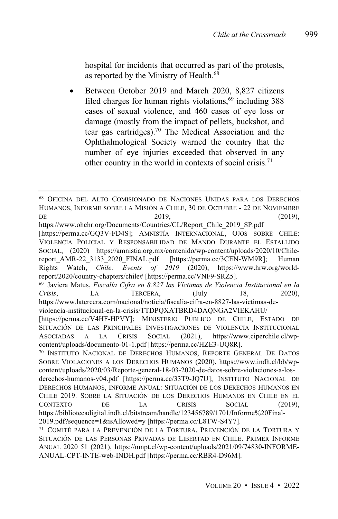hospital for incidents that occurred as part of the protests, as reported by the Ministry of Health.<sup>68</sup>

• Between October 2019 and March 2020, 8,827 citizens filed charges for human rights violations, $69$  including 388 cases of sexual violence, and 460 cases of eye loss or damage (mostly from the impact of pellets, buckshot, and tear gas cartridges).<sup>70</sup> The Medical Association and the Ophthalmological Society warned the country that the number of eye injuries exceeded that observed in any other country in the world in contexts of social crisis. 71

<sup>68</sup> OFICINA DEL ALTO COMISIONADO DE NACIONES UNIDAS PARA LOS DERECHOS HUMANOS, INFORME SOBRE LA MISIÓN A CHILE, 30 DE OCTUBRE - 22 DE NOVIEMBRE DE  $2019,$   $(2019)$ ,

https://www.ohchr.org/Documents/Countries/CL/Report\_Chile\_2019\_SP.pdf

<sup>[</sup>https://perma.cc/GQ3V-FD4S]; AMNISTÍA INTERNACIONAL, OJOS SOBRE CHILE: VIOLENCIA POLICIAL Y RESPONSABILIDAD DE MANDO DURANTE EL ESTALLIDO SOCIAL, (2020) https://amnistia.org.mx/contenido/wp-content/uploads/2020/10/Chilereport\_AMR-22\_3133\_2020\_FINAL.pdf [https://perma.cc/3CEN-WM9R]; Human<br>Rights Watch, *Chile: Events of 2019* (2020), https://www.hrw.org/world-Rights Watch, *Chile: Events of 2019* (2020), https://www.hrw.org/worldreport/2020/country-chapters/chile# [https://perma.cc/VNF9-SRZ5].

<sup>69</sup> Javiera Matus, *Fiscalía Cifra en 8.827 las Víctimas de Violencia Institucional en la Crisis*, LA TERCERA, (July 18, 2020), https://www.latercera.com/nacional/noticia/fiscalia-cifra-en-8827-las-victimas-de-

violencia-institucional-en-la-crisis/TTDPQXATBRD4DAQNGA2VIEKAHU/

<sup>[</sup>https://perma.cc/V4HF-HPVY]; MINISTERIO PÚBLICO DE CHILE, ESTADO DE SITUACIÓN DE LAS PRINCIPALES INVESTIGACIONES DE VIOLENCIA INSTITUCIONAL ASOCIADAS A LA CRISIS SOCIAL (2021), https://www.ciperchile.cl/wpcontent/uploads/documento-01-1.pdf [https://perma.cc/HZE3-UQ8R].

<sup>70</sup> INSTITUTO NACIONAL DE DERECHOS HUMANOS, REPORTE GENERAL DE DATOS SOBRE VIOLACIONES A LOS DERECHOS HUMANOS (2020), https://www.indh.cl/bb/wpcontent/uploads/2020/03/Reporte-general-18-03-2020-de-datos-sobre-violaciones-a-los-

derechos-humanos-v04.pdf [https://perma.cc/33T9-JQ7U]; INSTITUTO NACIONAL DE DERECHOS HUMANOS, INFORME ANUAL: SITUACIÓN DE LOS DERECHOS HUMANOS EN CHILE 2019. SOBRE LA SITUACIÓN DE LOS DERECHOS HUMANOS EN CHILE EN EL CONTEXTO DE LA CRISIS SOCIAL (2019), https://bibliotecadigital.indh.cl/bitstream/handle/123456789/1701/Informe%20Final-2019.pdf?sequence=1&isAllowed=y [https://perma.cc/L8TW-S4Y7].

<sup>71</sup> COMITÉ PARA LA PREVENCIÓN DE LA TORTURA, PREVENCIÓN DE LA TORTURA Y SITUACIÓN DE LAS PERSONAS PRIVADAS DE LIBERTAD EN CHILE. PRIMER INFORME ANUAL 2020 51 (2021), https://mnpt.cl/wp-content/uploads/2021/09/74830-INFORME-ANUAL-CPT-INTE-web-INDH.pdf [https://perma.cc/RBR4-D96M].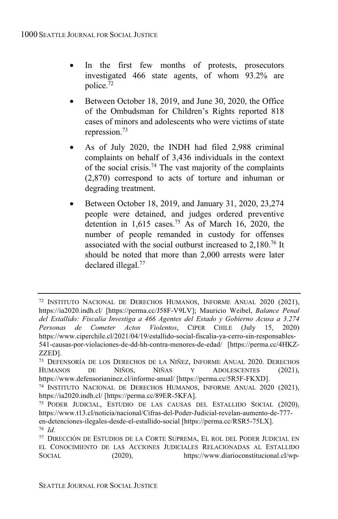- In the first few months of protests, prosecutors investigated 466 state agents, of whom 93.2% are police.<sup>72</sup>
- Between October 18, 2019, and June 30, 2020, the Office of the Ombudsman for Children's Rights reported 818 cases of minors and adolescents who were victims of state repression.<sup>73</sup>
- As of July 2020, the INDH had filed 2,988 criminal complaints on behalf of 3,436 individuals in the context of the social crisis.<sup>74</sup> The vast majority of the complaints (2,870) correspond to acts of torture and inhuman or degrading treatment.
- Between October 18, 2019, and January 31, 2020, 23,274 people were detained, and judges ordered preventive detention in  $1,615$  cases.<sup>75</sup> As of March 16, 2020, the number of people remanded in custody for offenses associated with the social outburst increased to 2,180. <sup>76</sup> It should be noted that more than 2,000 arrests were later declared illegal. 77

<sup>72</sup> INSTITUTO NACIONAL DE DERECHOS HUMANOS, INFORME ANUAL 2020 (2021), https://ia2020.indh.cl/ [https://perma.cc/J58F-V9LV]; Mauricio Weibel, *Balance Penal del Estallido: Fiscalía Investiga a 466 Agentes del Estado y Gobierno Acusa a 3.274 Personas de Cometer Actos Violentos*, CIPER CHILE (July 15, 2020) https://www.ciperchile.cl/2021/04/19/estallido-social-fiscalia-ya-cerro-sin-responsables-541-causas-por-violaciones-de-dd-hh-contra-menores-de-edad/ [https://perma.cc/4HKZ-ZZED].

<sup>&</sup>lt;sup>73</sup> DEFENSORÍA DE LOS DERECHOS DE LA NIÑEZ, INFORME ANUAL 2020. DERECHOS HUMANOS DE NIÑOS. NIÑAS Y ADOLESCENTES (2021). HUMANOS DE NIÑOS, NIÑAS Y ADOLESCENTES (2021), https://www.defensorianinez.cl/informe-anual/ [https://perma.cc/5R5F-FKXD].

<sup>74</sup> INSTITUTO NACIONAL DE DERECHOS HUMANOS, INFORME ANUAL 2020 (2021), https://ia2020.indh.cl/ [https://perma.cc/89ER-5KFA].

<sup>75</sup> PODER JUDICIAL, ESTUDIO DE LAS CAUSAS DEL ESTALLIDO SOCIAL (2020), https://www.t13.cl/noticia/nacional/Cifras-del-Poder-Judicial-revelan-aumento-de-777 en-detenciones-ilegales-desde-el-estallido-social [https://perma.cc/RSR5-75LX]. <sup>76</sup> *Id*.

<sup>77</sup> DIRECCIÓN DE ESTUDIOS DE LA CORTE SUPREMA, EL ROL DEL PODER JUDICIAL EN EL CONOCIMIENTO DE LAS ACCIONES JUDICIALES RELACIONADAS AL ESTALLIDO SOCIAL (2020), https://www.diarioconstitucional.cl/wp-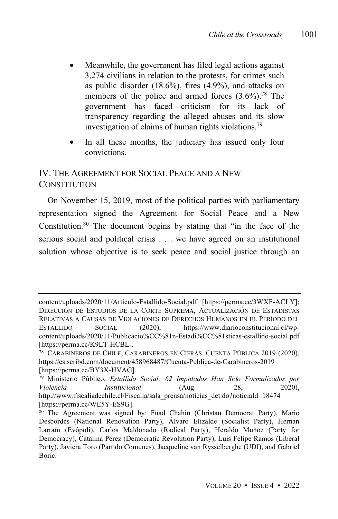- Meanwhile, the government has filed legal actions against 3,274 civilians in relation to the protests, for crimes such as public disorder  $(18.6\%)$ , fires  $(4.9\%)$ , and attacks on members of the police and armed forces (3.6%). <sup>78</sup> The government has faced criticism for its lack of transparency regarding the alleged abuses and its slow investigation of claims of human rights violations.<sup>79</sup>
- In all these months, the judiciary has issued only four convictions.

# IV. THE AGREEMENT FOR SOCIAL PEACE AND A NEW CONSTITUTION

On November 15, 2019, most of the political parties with parliamentary representation signed the Agreement for Social Peace and a New Constitution.<sup>80</sup> The document begins by stating that "in the face of the serious social and political crisis . . . we have agreed on an institutional solution whose objective is to seek peace and social justice through an

content/uploads/2020/11/Articulo-Estallido-Social.pdf [https://perma.cc/3WXF-ACLY]; DIRECCIÓN DE ESTUDIOS DE LA CORTE SUPREMA, ACTUALIZACIÓN DE ESTADISTAS RELATIVAS A CAUSAS DE VIOLACIONES DE DERECHOS HUMANOS EN EL PERÍODO DEL ESTALLIDO SOCIAL (2020), https://www.diarioconstitucional.cl/wpcontent/uploads/2020/11/Publicacio%CC%81n-Estadi%CC%81sticas-estallido-social.pdf [https://perma.cc/K9LT-HCBL].

<sup>78</sup> CARABINEROS DE CHILE, CARABINEROS EN CIFRAS. CUENTA PÚBLICA 2019 (2020), https://es.scribd.com/document/458968487/Cuenta-Publica-de-Carabineros-2019 [https://perma.cc/BY3X-HVAG].

<sup>79</sup> Ministerio Público, *Estallido Social: 62 Imputados Han Sido Formalizados por Violencia Institucional* (Aug. 28, 2020), http://www.fiscaliadechile.cl/Fiscalia/sala\_prensa/noticias\_det.do?noticiaId=18474 [https://perma.cc/WE5Y-ES9G].

<sup>80</sup> The Agreement was signed by: Fuad Chahin (Christan Democrat Party), Mario Desbordes (National Renovation Party), Álvaro Elizalde (Socialist Party), Hernán Larraín (Evópoli), Carlos Maldonado (Radical Party), Heraldo Muñoz (Party for Democracy), Catalina Pérez (Democratic Revolution Party), Luis Felipe Ramos (Liberal Party), Javiera Toro (Partido Comunes), Jacqueline van Rysselberghe (UDI), and Gabriel Boric.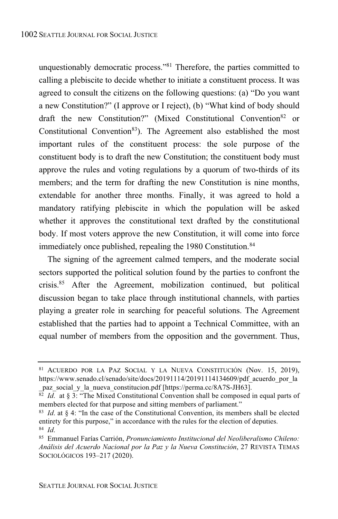unquestionably democratic process."<sup>81</sup> Therefore, the parties committed to calling a plebiscite to decide whether to initiate a constituent process. It was agreed to consult the citizens on the following questions: (a) "Do you want a new Constitution?" (I approve or I reject), (b) "What kind of body should draft the new Constitution?" (Mixed Constitutional Convention <sup>82</sup> or Constitutional Convention <sup>83</sup>). The Agreement also established the most important rules of the constituent process: the sole purpose of the constituent body is to draft the new Constitution; the constituent body must approve the rules and voting regulations by a quorum of two-thirds of its members; and the term for drafting the new Constitution is nine months, extendable for another three months. Finally, it was agreed to hold a mandatory ratifying plebiscite in which the population will be asked whether it approves the constitutional text drafted by the constitutional body. If most voters approve the new Constitution, it will come into force immediately once published, repealing the 1980 Constitution.<sup>84</sup>

The signing of the agreement calmed tempers, and the moderate social sectors supported the political solution found by the parties to confront the crisis.<sup>85</sup> After the Agreement, mobilization continued, but political discussion began to take place through institutional channels, with parties playing a greater role in searching for peaceful solutions. The Agreement established that the parties had to appoint a Technical Committee, with an equal number of members from the opposition and the government. Thus,

<sup>81</sup> ACUERDO POR LA PAZ SOCIAL Y LA NUEVA CONSTITUCIÓN (Nov. 15, 2019), https://www.senado.cl/senado/site/docs/20191114/20191114134609/pdf acuerdo por la paz\_social\_y\_la\_nueva\_constitucion.pdf [https://perma.cc/8A7S-JH63].

<sup>82</sup> *Id*. at § 3: "The Mixed Constitutional Convention shall be composed in equal parts of members elected for that purpose and sitting members of parliament."

<sup>83</sup> *Id*. at § 4: "In the case of the Constitutional Convention, its members shall be elected entirety for this purpose," in accordance with the rules for the election of deputies. <sup>84</sup> *Id*.

<sup>85</sup> Emmanuel Farías Carrión, *Pronunciamiento Institucional del Neoliberalismo Chileno: Análisis del Acuerdo Nacional por la Paz y la Nueva Constitución*, 27 REVISTA TEMAS SOCIOLÓGICOS 193-217 (2020).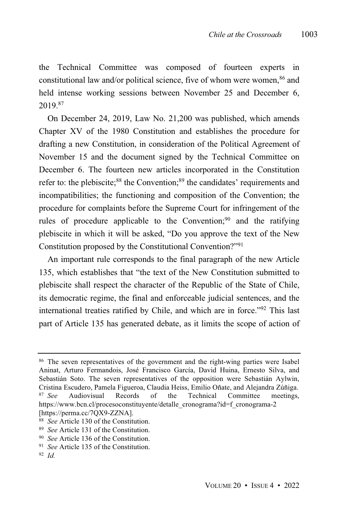the Technical Committee was composed of fourteen experts in constitutional law and/or political science, five of whom were women.<sup>86</sup> and held intense working sessions between November 25 and December 6, 2019.<sup>87</sup>

On December 24, 2019, Law No. 21,200 was published, which amends Chapter XV of the 1980 Constitution and establishes the procedure for drafting a new Constitution, in consideration of the Political Agreement of November 15 and the document signed by the Technical Committee on December 6. The fourteen new articles incorporated in the Constitution refer to: the plebiscite;<sup>88</sup> the Convention;<sup>89</sup> the candidates' requirements and incompatibilities; the functioning and composition of the Convention; the procedure for complaints before the Supreme Court for infringement of the rules of procedure applicable to the Convention; $90$  and the ratifying plebiscite in which it will be asked, "Do you approve the text of the New Constitution proposed by the Constitutional Convention?"<sup>91</sup>

An important rule corresponds to the final paragraph of the new Article 135, which establishes that "the text of the New Constitution submitted to plebiscite shall respect the character of the Republic of the State of Chile, its democratic regime, the final and enforceable judicial sentences, and the international treaties ratified by Chile, and which are in force." <sup>92</sup> This last part of Article 135 has generated debate, as it limits the scope of action of

<sup>86</sup> The seven representatives of the government and the right-wing parties were Isabel Aninat, Arturo Fermandois, José Francisco García, David Huina, Ernesto Silva, and Sebastián Soto. The seven representatives of the opposition were Sebastián Aylwin, Cristina Escudero, Pamela Figueroa, Claudia Heiss, Emilio Oñate, and Alejandra Zúñiga.<br><sup>87</sup> *See* Audiovisual Records of the Technical Committee meetings. Audiovisual Records of the Technical Committee meetings, https://www.bcn.cl/procesoconstituyente/detalle\_cronograma?id=f\_cronograma-2 [https://perma.cc/7QX9-ZZNA].

<sup>88</sup> *See* Article 130 of the Constitution.

<sup>89</sup> *See* Article 131 of the Constitution.

<sup>90</sup> *See* Article 136 of the Constitution.

<sup>&</sup>lt;sup>91</sup> *See* Article 135 of the Constitution.

<sup>92</sup> *Id.*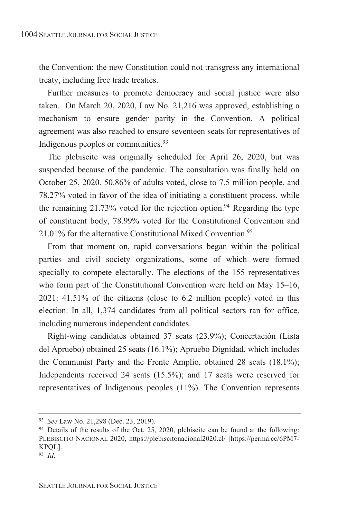the Convention: the new Constitution could not transgress any international treaty, including free trade treaties.

Further measures to promote democracy and social justice were also taken. On March 20, 2020, Law No. 21,216 was approved, establishing a mechanism to ensure gender parity in the Convention. A political agreement was also reached to ensure seventeen seats for representatives of Indigenous peoples or communities.<sup>93</sup>

The plebiscite was originally scheduled for April 26, 2020, but was suspended because of the pandemic. The consultation was finally held on October 25, 2020. 50.86% of adults voted, close to 7.5 million people, and 78.27% voted in favor of the idea of initiating a constituent process, while the remaining  $21.73\%$  voted for the rejection option.<sup>94</sup> Regarding the type of constituent body, 78.99% voted for the Constitutional Convention and 21.01% for the alternative Constitutional Mixed Convention.<sup>95</sup>

From that moment on, rapid conversations began within the political parties and civil society organizations, some of which were formed specially to compete electorally. The elections of the 155 representatives who form part of the Constitutional Convention were held on May 15–16, 2021: 41.51% of the citizens (close to 6.2 million people) voted in this election. In all, 1,374 candidates from all political sectors ran for office, including numerous independent candidates.

Right-wing candidates obtained 37 seats (23.9%); Concertación (Lista del Apruebo) obtained 25 seats (16.1%); Apruebo Dignidad, which includes the Communist Party and the Frente Amplio, obtained 28 seats (18.1%); Independents received 24 seats (15.5%); and 17 seats were reserved for representatives of Indigenous peoples (11%). The Convention represents

<sup>93</sup> *See* Law No. 21,298 (Dec. 23, 2019).

<sup>94</sup> Details of the results of the Oct. 25, 2020, plebiscite can be found at the following: PLEBISCITO NACIONAL 2020, https://plebiscitonacional2020.cl/ [https://perma.cc/6PM7- KPQL].

<sup>95</sup> *Id*.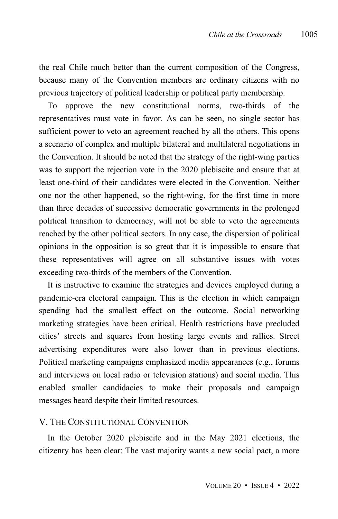the real Chile much better than the current composition of the Congress, because many of the Convention members are ordinary citizens with no previous trajectory of political leadership or political party membership.

To approve the new constitutional norms, two-thirds of the representatives must vote in favor. As can be seen, no single sector has sufficient power to veto an agreement reached by all the others. This opens a scenario of complex and multiple bilateral and multilateral negotiations in the Convention. It should be noted that the strategy of the right-wing parties was to support the rejection vote in the 2020 plebiscite and ensure that at least one-third of their candidates were elected in the Convention. Neither one nor the other happened, so the right-wing, for the first time in more than three decades of successive democratic governments in the prolonged political transition to democracy, will not be able to veto the agreements reached by the other political sectors. In any case, the dispersion of political opinions in the opposition is so great that it is impossible to ensure that these representatives will agree on all substantive issues with votes exceeding two-thirds of the members of the Convention.

It is instructive to examine the strategies and devices employed during a pandemic-era electoral campaign. This is the election in which campaign spending had the smallest effect on the outcome. Social networking marketing strategies have been critical. Health restrictions have precluded cities' streets and squares from hosting large events and rallies. Street advertising expenditures were also lower than in previous elections. Political marketing campaigns emphasized media appearances (e.g., forums and interviews on local radio or television stations) and social media. This enabled smaller candidacies to make their proposals and campaign messages heard despite their limited resources.

#### V. THE CONSTITUTIONAL CONVENTION

In the October 2020 plebiscite and in the May 2021 elections, the citizenry has been clear: The vast majority wants a new social pact, a more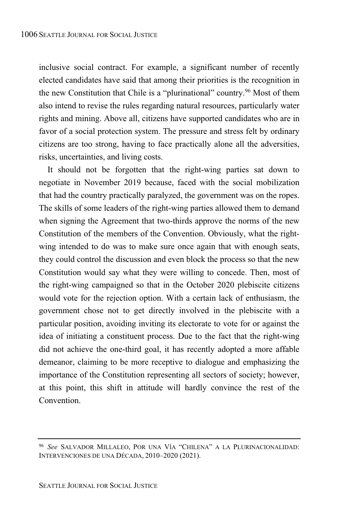inclusive social contract. For example, a significant number of recently elected candidates have said that among their priorities is the recognition in the new Constitution that Chile is a "plurinational" country.<sup>96</sup> Most of them also intend to revise the rules regarding natural resources, particularly water rights and mining. Above all, citizens have supported candidates who are in favor of a social protection system. The pressure and stress felt by ordinary citizens are too strong, having to face practically alone all the adversities, risks, uncertainties, and living costs.

It should not be forgotten that the right-wing parties sat down to negotiate in November 2019 because, faced with the social mobilization that had the country practically paralyzed, the government was on the ropes. The skills of some leaders of the right-wing parties allowed them to demand when signing the Agreement that two-thirds approve the norms of the new Constitution of the members of the Convention. Obviously, what the rightwing intended to do was to make sure once again that with enough seats, they could control the discussion and even block the process so that the new Constitution would say what they were willing to concede. Then, most of the right-wing campaigned so that in the October 2020 plebiscite citizens would vote for the rejection option. With a certain lack of enthusiasm, the government chose not to get directly involved in the plebiscite with a particular position, avoiding inviting its electorate to vote for or against the idea of initiating a constituent process. Due to the fact that the right-wing did not achieve the one-third goal, it has recently adopted a more affable demeanor, claiming to be more receptive to dialogue and emphasizing the importance of the Constitution representing all sectors of society; however, at this point, this shift in attitude will hardly convince the rest of the Convention.

<sup>96</sup> *See* SALVADOR MILLALEO, POR UNA VÍA "CHILENA" A LA PLURINACIONALIDAD: INTERVENCIONES DE UNA DÉCADA, 2010–2020 (2021).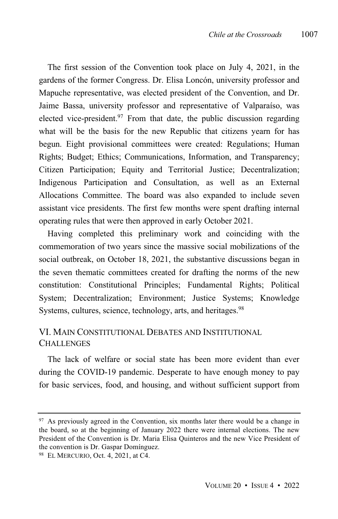The first session of the Convention took place on July 4, 2021, in the gardens of the former Congress. Dr. Elisa Loncón, university professor and Mapuche representative, was elected president of the Convention, and Dr. Jaime Bassa, university professor and representative of Valparaíso, was elected vice-president.<sup>97</sup> From that date, the public discussion regarding what will be the basis for the new Republic that citizens yearn for has begun. Eight provisional committees were created: Regulations; Human Rights; Budget; Ethics; Communications, Information, and Transparency; Citizen Participation; Equity and Territorial Justice; Decentralization; Indigenous Participation and Consultation, as well as an External Allocations Committee. The board was also expanded to include seven assistant vice presidents. The first few months were spent drafting internal operating rules that were then approved in early October 2021.

Having completed this preliminary work and coinciding with the commemoration of two years since the massive social mobilizations of the social outbreak, on October 18, 2021, the substantive discussions began in the seven thematic committees created for drafting the norms of the new constitution: Constitutional Principles; Fundamental Rights; Political System; Decentralization; Environment; Justice Systems; Knowledge Systems, cultures, science, technology, arts, and heritages.<sup>98</sup>

## VI. MAIN CONSTITUTIONAL DEBATES AND INSTITUTIONAL **CHALLENGES**

The lack of welfare or social state has been more evident than ever during the COVID-19 pandemic. Desperate to have enough money to pay for basic services, food, and housing, and without sufficient support from

<sup>&</sup>lt;sup>97</sup> As previously agreed in the Convention, six months later there would be a change in the board, so at the beginning of January 2022 there were internal elections. The new President of the Convention is Dr. Maria Elisa Quinteros and the new Vice President of the convention is Dr. Gaspar Domínguez.

<sup>98</sup> EL MERCURIO, Oct. 4, 2021, at C4.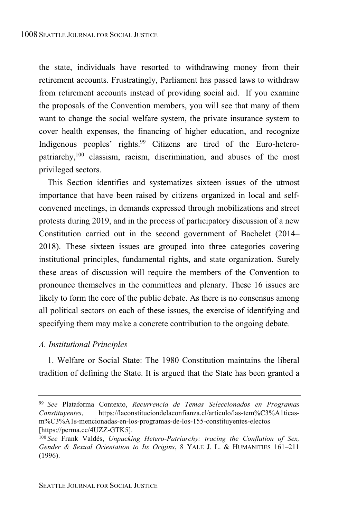the state, individuals have resorted to withdrawing money from their retirement accounts. Frustratingly, Parliament has passed laws to withdraw from retirement accounts instead of providing social aid. If you examine the proposals of the Convention members, you will see that many of them want to change the social welfare system, the private insurance system to cover health expenses, the financing of higher education, and recognize Indigenous peoples' rights.<sup>99</sup> Citizens are tired of the Euro-heteropatriarchy, <sup>100</sup> classism, racism, discrimination, and abuses of the most privileged sectors.

This Section identifies and systematizes sixteen issues of the utmost importance that have been raised by citizens organized in local and selfconvened meetings, in demands expressed through mobilizations and street protests during 2019, and in the process of participatory discussion of a new Constitution carried out in the second government of Bachelet (2014– 2018). These sixteen issues are grouped into three categories covering institutional principles, fundamental rights, and state organization. Surely these areas of discussion will require the members of the Convention to pronounce themselves in the committees and plenary. These 16 issues are likely to form the core of the public debate. As there is no consensus among all political sectors on each of these issues, the exercise of identifying and specifying them may make a concrete contribution to the ongoing debate.

#### *A. Institutional Principles*

1. Welfare or Social State: The 1980 Constitution maintains the liberal tradition of defining the State. It is argued that the State has been granted a

<sup>99</sup> *See* Plataforma Contexto, *Recurrencia de Temas Seleccionados en Programas Constituyentes*, https://laconstituciondelaconfianza.cl/articulo/las-tem%C3%A1ticasm%C3%A1s-mencionadas-en-los-programas-de-los-155-constituyentes-electos [https://perma.cc/4UZZ-GTK5].

<sup>100</sup> *See* Frank Valdés, *Unpacking Hetero-Patriarchy: tracing the Conflation of Sex, Gender & Sexual Orientation to Its Origins*, 8 YALE J. L. & HUMANITIES 161‒211 (1996).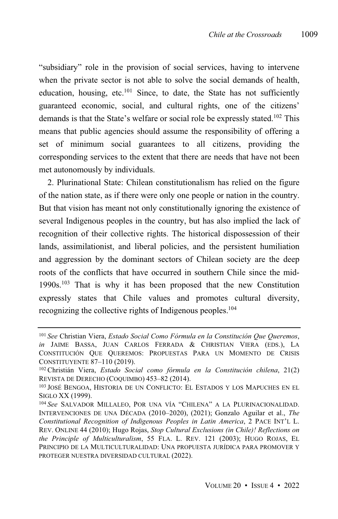"subsidiary" role in the provision of social services, having to intervene when the private sector is not able to solve the social demands of health, education, housing, etc. $101$  Since, to date, the State has not sufficiently guaranteed economic, social, and cultural rights, one of the citizens' demands is that the State's welfare or social role be expressly stated.<sup>102</sup> This means that public agencies should assume the responsibility of offering a set of minimum social guarantees to all citizens, providing the corresponding services to the extent that there are needs that have not been met autonomously by individuals.

2. Plurinational State: Chilean constitutionalism has relied on the figure of the nation state, as if there were only one people or nation in the country. But that vision has meant not only constitutionally ignoring the existence of several Indigenous peoples in the country, but has also implied the lack of recognition of their collective rights. The historical dispossession of their lands, assimilationist, and liberal policies, and the persistent humiliation and aggression by the dominant sectors of Chilean society are the deep roots of the conflicts that have occurred in southern Chile since the mid-1990s.<sup>103</sup> That is why it has been proposed that the new Constitution expressly states that Chile values and promotes cultural diversity, recognizing the collective rights of Indigenous peoples.<sup>104</sup>

<sup>101</sup> *See* Christian Viera, *Estado Social Como Fórmula en la Constitución Que Queremos*, *in* JAIME BASSA, JUAN CARLOS FERRADA & CHRISTIAN VIERA (EDS.), LA CONSTITUCIÓN QUE QUEREMOS: PROPUESTAS PARA UN MOMENTO DE CRISIS CONSTITUYENTE 87–110 (2019).

<sup>102</sup> Christián Viera, *Estado Social como fórmula en la Constitución chilena*, 21(2) REVISTA DE DERECHO (COQUIMBO) 453-82 (2014).

<sup>103</sup> JOSÉ BENGOA, HISTORIA DE UN CONFLICTO: EL ESTADOS Y LOS MAPUCHES EN EL SIGLO XX (1999).

<sup>104</sup> *See* SALVADOR MILLALEO, POR UNA VÍA "CHILENA" A LA PLURINACIONALIDAD. INTERVENCIONES DE UNA DÉCADA (2010–2020), (2021); Gonzalo Aguilar et al., *The Constitutional Recognition of Indigenous Peoples in Latin America*, 2 PACE INT'L L. REV. ONLINE 44 (2010); Hugo Rojas, *Stop Cultural Exclusions (in Chile)! Reflections on the Principle of Multiculturalism*, 55 FLA. L. REV. 121 (2003); HUGO ROJAS, EL PRINCIPIO DE LA MULTICULTURALIDAD: UNA PROPUESTA JURÍDICA PARA PROMOVER Y PROTEGER NUESTRA DIVERSIDAD CULTURAL (2022).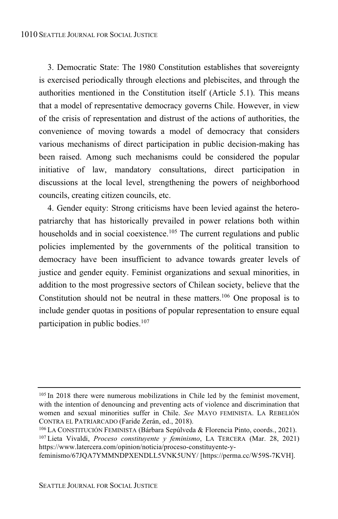3. Democratic State: The 1980 Constitution establishes that sovereignty is exercised periodically through elections and plebiscites, and through the authorities mentioned in the Constitution itself (Article 5.1). This means that a model of representative democracy governs Chile. However, in view of the crisis of representation and distrust of the actions of authorities, the convenience of moving towards a model of democracy that considers various mechanisms of direct participation in public decision-making has been raised. Among such mechanisms could be considered the popular initiative of law, mandatory consultations, direct participation in discussions at the local level, strengthening the powers of neighborhood councils, creating citizen councils, etc.

4. Gender equity: Strong criticisms have been levied against the heteropatriarchy that has historically prevailed in power relations both within households and in social coexistence.<sup>105</sup> The current regulations and public policies implemented by the governments of the political transition to democracy have been insufficient to advance towards greater levels of justice and gender equity. Feminist organizations and sexual minorities, in addition to the most progressive sectors of Chilean society, believe that the Constitution should not be neutral in these matters.<sup>106</sup> One proposal is to include gender quotas in positions of popular representation to ensure equal participation in public bodies.<sup>107</sup>

feminismo/67JQA7YMMNDPXENDLL5VNK5UNY/ [https://perma.cc/W59S-7KVH].

<sup>105</sup> In 2018 there were numerous mobilizations in Chile led by the feminist movement, with the intention of denouncing and preventing acts of violence and discrimination that women and sexual minorities suffer in Chile. *See* MAYO FEMINISTA. LA REBELIÓN CONTRA EL PATRIARCADO (Faride Zerán, ed., 2018).

<sup>106</sup> LA CONSTITUCIÓN FEMINISTA (Bárbara Sepúlveda & Florencia Pinto, coords., 2021). <sup>107</sup> Lieta Vivaldi, *Proceso constituyente y feminismo*, LA TERCERA (Mar. 28, 2021) https://www.latercera.com/opinion/noticia/proceso-constituyente-y-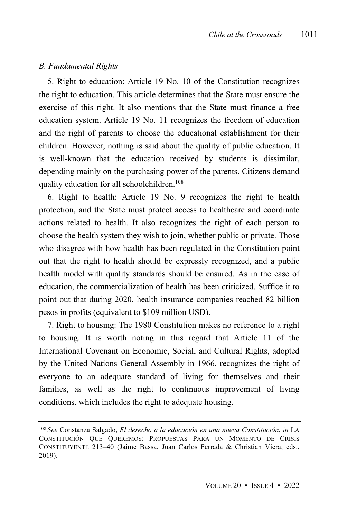#### *B. Fundamental Rights*

5. Right to education: Article 19 No. 10 of the Constitution recognizes the right to education. This article determines that the State must ensure the exercise of this right. It also mentions that the State must finance a free education system. Article 19 No. 11 recognizes the freedom of education and the right of parents to choose the educational establishment for their children. However, nothing is said about the quality of public education. It is well-known that the education received by students is dissimilar, depending mainly on the purchasing power of the parents. Citizens demand quality education for all schoolchildren. 108

6. Right to health: Article 19 No. 9 recognizes the right to health protection, and the State must protect access to healthcare and coordinate actions related to health. It also recognizes the right of each person to choose the health system they wish to join, whether public or private. Those who disagree with how health has been regulated in the Constitution point out that the right to health should be expressly recognized, and a public health model with quality standards should be ensured. As in the case of education, the commercialization of health has been criticized. Suffice it to point out that during 2020, health insurance companies reached 82 billion pesos in profits (equivalent to \$109 million USD).

7. Right to housing: The 1980 Constitution makes no reference to a right to housing. It is worth noting in this regard that Article 11 of the International Covenant on Economic, Social, and Cultural Rights, adopted by the United Nations General Assembly in 1966, recognizes the right of everyone to an adequate standard of living for themselves and their families, as well as the right to continuous improvement of living conditions, which includes the right to adequate housing.

<sup>108</sup> *See* Constanza Salgado, *El derecho a la educación en una nueva Constitución*, *in* LA CONSTITUCIÓN QUE QUEREMOS: PROPUESTAS PARA UN MOMENTO DE CRISIS CONSTITUYENTE 213‒40 (Jaime Bassa, Juan Carlos Ferrada & Christian Viera, eds., 2019).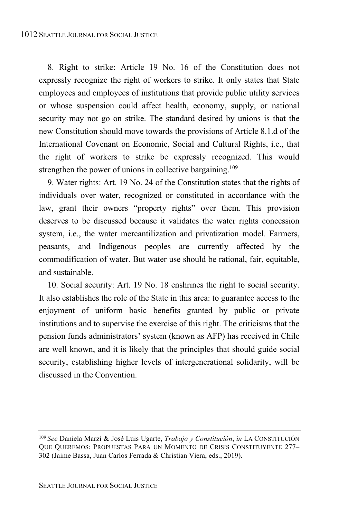8. Right to strike: Article 19 No. 16 of the Constitution does not expressly recognize the right of workers to strike. It only states that State employees and employees of institutions that provide public utility services or whose suspension could affect health, economy, supply, or national security may not go on strike. The standard desired by unions is that the new Constitution should move towards the provisions of Article 8.1.d of the International Covenant on Economic, Social and Cultural Rights, i.e., that the right of workers to strike be expressly recognized. This would strengthen the power of unions in collective bargaining.<sup>109</sup>

9. Water rights: Art. 19 No. 24 of the Constitution states that the rights of individuals over water, recognized or constituted in accordance with the law, grant their owners "property rights" over them. This provision deserves to be discussed because it validates the water rights concession system, i.e., the water mercantilization and privatization model. Farmers, peasants, and Indigenous peoples are currently affected by the commodification of water. But water use should be rational, fair, equitable, and sustainable.

10. Social security: Art. 19 No. 18 enshrines the right to social security. It also establishes the role of the State in this area: to guarantee access to the enjoyment of uniform basic benefits granted by public or private institutions and to supervise the exercise of this right. The criticisms that the pension funds administrators' system (known as AFP) has received in Chile are well known, and it is likely that the principles that should guide social security, establishing higher levels of intergenerational solidarity, will be discussed in the Convention.

<sup>109</sup> *See* Daniela Marzi & José Luis Ugarte, *Trabajo y Constitución*, *in* LA CONSTITUCIÓN QUE QUEREMOS: PROPUESTAS PARA UN MOMENTO DE CRISIS CONSTITUYENTE 277-302 (Jaime Bassa, Juan Carlos Ferrada & Christian Viera, eds., 2019).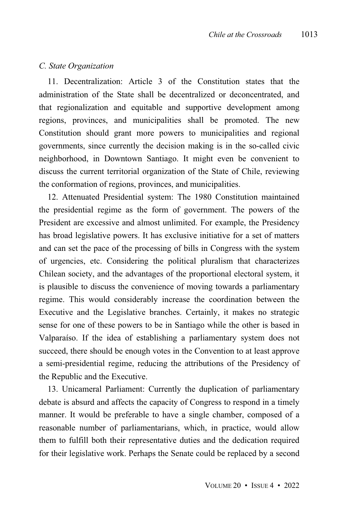#### *C. State Organization*

11. Decentralization: Article 3 of the Constitution states that the administration of the State shall be decentralized or deconcentrated, and that regionalization and equitable and supportive development among regions, provinces, and municipalities shall be promoted. The new Constitution should grant more powers to municipalities and regional governments, since currently the decision making is in the so-called civic neighborhood, in Downtown Santiago. It might even be convenient to discuss the current territorial organization of the State of Chile, reviewing the conformation of regions, provinces, and municipalities.

12. Attenuated Presidential system: The 1980 Constitution maintained the presidential regime as the form of government. The powers of the President are excessive and almost unlimited. For example, the Presidency has broad legislative powers. It has exclusive initiative for a set of matters and can set the pace of the processing of bills in Congress with the system of urgencies, etc. Considering the political pluralism that characterizes Chilean society, and the advantages of the proportional electoral system, it is plausible to discuss the convenience of moving towards a parliamentary regime. This would considerably increase the coordination between the Executive and the Legislative branches. Certainly, it makes no strategic sense for one of these powers to be in Santiago while the other is based in Valparaíso. If the idea of establishing a parliamentary system does not succeed, there should be enough votes in the Convention to at least approve a semi-presidential regime, reducing the attributions of the Presidency of the Republic and the Executive.

13. Unicameral Parliament: Currently the duplication of parliamentary debate is absurd and affects the capacity of Congress to respond in a timely manner. It would be preferable to have a single chamber, composed of a reasonable number of parliamentarians, which, in practice, would allow them to fulfill both their representative duties and the dedication required for their legislative work. Perhaps the Senate could be replaced by a second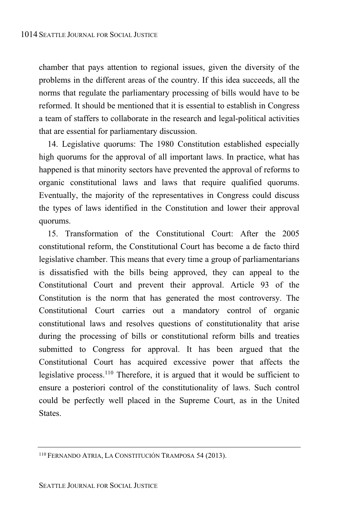chamber that pays attention to regional issues, given the diversity of the problems in the different areas of the country. If this idea succeeds, all the norms that regulate the parliamentary processing of bills would have to be reformed. It should be mentioned that it is essential to establish in Congress a team of staffers to collaborate in the research and legal-political activities that are essential for parliamentary discussion.

14. Legislative quorums: The 1980 Constitution established especially high quorums for the approval of all important laws. In practice, what has happened is that minority sectors have prevented the approval of reforms to organic constitutional laws and laws that require qualified quorums. Eventually, the majority of the representatives in Congress could discuss the types of laws identified in the Constitution and lower their approval quorums.

15. Transformation of the Constitutional Court: After the 2005 constitutional reform, the Constitutional Court has become a de facto third legislative chamber. This means that every time a group of parliamentarians is dissatisfied with the bills being approved, they can appeal to the Constitutional Court and prevent their approval. Article 93 of the Constitution is the norm that has generated the most controversy. The Constitutional Court carries out a mandatory control of organic constitutional laws and resolves questions of constitutionality that arise during the processing of bills or constitutional reform bills and treaties submitted to Congress for approval. It has been argued that the Constitutional Court has acquired excessive power that affects the legislative process.<sup>110</sup> Therefore, it is argued that it would be sufficient to ensure a posteriori control of the constitutionality of laws. Such control could be perfectly well placed in the Supreme Court, as in the United States.

<sup>110</sup> FERNANDO ATRIA, LA CONSTITUCIÓN TRAMPOSA 54 (2013).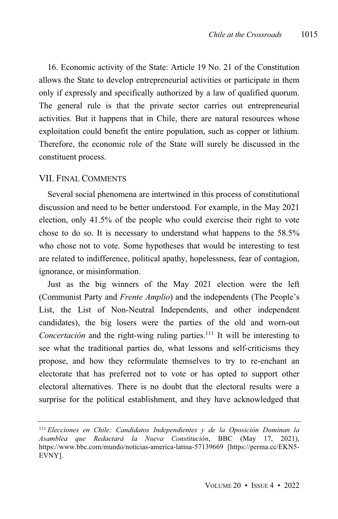16. Economic activity of the State: Article 19 No. 21 of the Constitution allows the State to develop entrepreneurial activities or participate in them only if expressly and specifically authorized by a law of qualified quorum. The general rule is that the private sector carries out entrepreneurial activities. But it happens that in Chile, there are natural resources whose exploitation could benefit the entire population, such as copper or lithium. Therefore, the economic role of the State will surely be discussed in the constituent process.

#### VII. FINAL COMMENTS

Several social phenomena are intertwined in this process of constitutional discussion and need to be better understood. For example, in the May 2021 election, only 41.5% of the people who could exercise their right to vote chose to do so. It is necessary to understand what happens to the 58.5% who chose not to vote. Some hypotheses that would be interesting to test are related to indifference, political apathy, hopelessness, fear of contagion, ignorance, or misinformation.

Just as the big winners of the May 2021 election were the left (Communist Party and *Frente Amplio*) and the independents (The People's List, the List of Non-Neutral Independents, and other independent candidates), the big losers were the parties of the old and worn-out *Concertación* and the right-wing ruling parties. <sup>111</sup> It will be interesting to see what the traditional parties do, what lessons and self-criticisms they propose, and how they reformulate themselves to try to re-enchant an electorate that has preferred not to vote or has opted to support other electoral alternatives. There is no doubt that the electoral results were a surprise for the political establishment, and they have acknowledged that

<sup>111</sup> *Elecciones en Chile: Candidatos Independientes y de la Oposición Dominan la Asamblea que Redactará la Nueva Constitución*, BBC (May 17, 2021), https://www.bbc.com/mundo/noticias-america-latina-57139669 [https://perma.cc/EKN5- EVNY].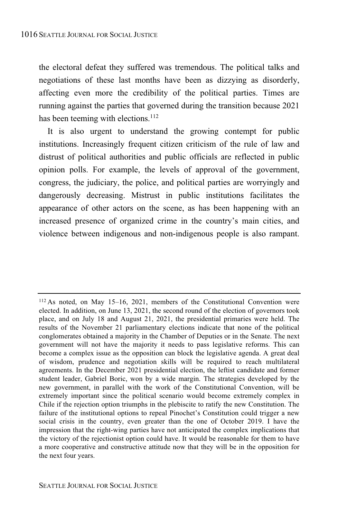the electoral defeat they suffered was tremendous. The political talks and negotiations of these last months have been as dizzying as disorderly, affecting even more the credibility of the political parties. Times are running against the parties that governed during the transition because 2021 has been teeming with elections.<sup>112</sup>

It is also urgent to understand the growing contempt for public institutions. Increasingly frequent citizen criticism of the rule of law and distrust of political authorities and public officials are reflected in public opinion polls. For example, the levels of approval of the government, congress, the judiciary, the police, and political parties are worryingly and dangerously decreasing. Mistrust in public institutions facilitates the appearance of other actors on the scene, as has been happening with an increased presence of organized crime in the country's main cities, and violence between indigenous and non-indigenous people is also rampant.

<sup>112</sup> As noted, on May 15–16, 2021, members of the Constitutional Convention were elected. In addition, on June 13, 2021, the second round of the election of governors took place, and on July 18 and August 21, 2021, the presidential primaries were held. The results of the November 21 parliamentary elections indicate that none of the political conglomerates obtained a majority in the Chamber of Deputies or in the Senate. The next government will not have the majority it needs to pass legislative reforms. This can become a complex issue as the opposition can block the legislative agenda. A great deal of wisdom, prudence and negotiation skills will be required to reach multilateral agreements. In the December 2021 presidential election, the leftist candidate and former student leader, Gabriel Boric, won by a wide margin. The strategies developed by the new government, in parallel with the work of the Constitutional Convention, will be extremely important since the political scenario would become extremely complex in Chile if the rejection option triumphs in the plebiscite to ratify the new Constitution. The failure of the institutional options to repeal Pinochet's Constitution could trigger a new social crisis in the country, even greater than the one of October 2019. I have the impression that the right-wing parties have not anticipated the complex implications that the victory of the rejectionist option could have. It would be reasonable for them to have a more cooperative and constructive attitude now that they will be in the opposition for the next four years.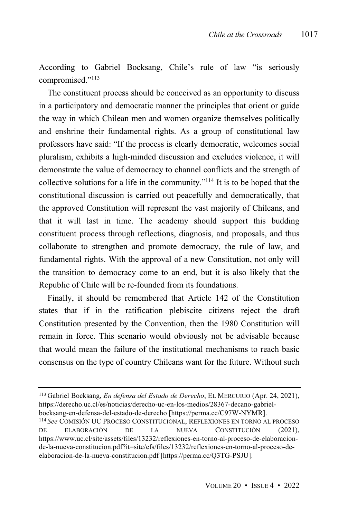According to Gabriel Bocksang, Chile's rule of law "is seriously compromised."<sup>113</sup>

The constituent process should be conceived as an opportunity to discuss in a participatory and democratic manner the principles that orient or guide the way in which Chilean men and women organize themselves politically and enshrine their fundamental rights. As a group of constitutional law professors have said: "If the process is clearly democratic, welcomes social pluralism, exhibits a high-minded discussion and excludes violence, it will demonstrate the value of democracy to channel conflicts and the strength of collective solutions for a life in the community."<sup>114</sup> It is to be hoped that the constitutional discussion is carried out peacefully and democratically, that the approved Constitution will represent the vast majority of Chileans, and that it will last in time. The academy should support this budding constituent process through reflections, diagnosis, and proposals, and thus collaborate to strengthen and promote democracy, the rule of law, and fundamental rights. With the approval of a new Constitution, not only will the transition to democracy come to an end, but it is also likely that the Republic of Chile will be re-founded from its foundations.

Finally, it should be remembered that Article 142 of the Constitution states that if in the ratification plebiscite citizens reject the draft Constitution presented by the Convention, then the 1980 Constitution will remain in force. This scenario would obviously not be advisable because that would mean the failure of the institutional mechanisms to reach basic consensus on the type of country Chileans want for the future. Without such

<sup>113</sup> Gabriel Bocksang, *En defensa del Estado de Derecho*, EL MERCURIO (Apr. 24, 2021), https://derecho.uc.cl/es/noticias/derecho-uc-en-los-medios/28367-decano-gabrielbocksang-en-defensa-del-estado-de-derecho [https://perma.cc/C97W-NYMR].

<sup>114</sup> *See* COMISIÓN UC PROCESO CONSTITUCIONAL, REFLEXIONES EN TORNO AL PROCESO DE ELABORACIÓN DE LA NUEVA CONSTITUCIÓN (2021), https://www.uc.cl/site/assets/files/13232/reflexiones-en-torno-al-proceso-de-elaboracionde-la-nueva-constitucion.pdf?it=site/efs/files/13232/reflexiones-en-torno-al-proceso-deelaboracion-de-la-nueva-constitucion.pdf [https://perma.cc/Q3TG-PSJU].